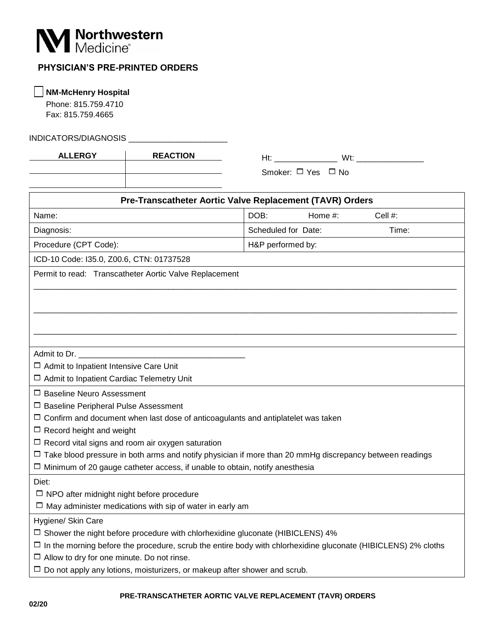

## **PHYSICIAN'S PRE-PRINTED ORDERS**

 **NM-McHenry Hospital**

 Phone: 815.759.4710 Fax: 815.759.4665

INDICATORS/DIAGNOSIS \_\_\_\_\_\_\_\_\_\_\_\_\_\_\_\_\_\_\_\_\_\_

Ht: \_\_\_\_\_\_\_\_\_\_\_\_\_\_ Wt: \_\_\_\_\_\_\_\_\_\_\_\_\_\_\_ **ALLERGY REACTION**

Smoker: □ Yes □ No

| Pre-Transcatheter Aortic Valve Replacement (TAVR) Orders                                                             |                     |         |         |
|----------------------------------------------------------------------------------------------------------------------|---------------------|---------|---------|
| Name:                                                                                                                | DOB:                | Home #: | Cell #: |
| Diagnosis:                                                                                                           | Scheduled for Date: |         | Time:   |
| Procedure (CPT Code):                                                                                                | H&P performed by:   |         |         |
| ICD-10 Code: I35.0, Z00.6, CTN: 01737528                                                                             |                     |         |         |
| Permit to read: Transcatheter Aortic Valve Replacement                                                               |                     |         |         |
|                                                                                                                      |                     |         |         |
|                                                                                                                      |                     |         |         |
|                                                                                                                      |                     |         |         |
|                                                                                                                      |                     |         |         |
|                                                                                                                      |                     |         |         |
| Admit to Dr.                                                                                                         |                     |         |         |
| $\Box$ Admit to Inpatient Intensive Care Unit                                                                        |                     |         |         |
| □ Admit to Inpatient Cardiac Telemetry Unit                                                                          |                     |         |         |
| $\Box$ Baseline Neuro Assessment                                                                                     |                     |         |         |
| $\Box$ Baseline Peripheral Pulse Assessment                                                                          |                     |         |         |
| $\Box$ Confirm and document when last dose of anticoagulants and antiplatelet was taken                              |                     |         |         |
| $\Box$ Record height and weight                                                                                      |                     |         |         |
| $\Box$ Record vital signs and room air oxygen saturation                                                             |                     |         |         |
| $\Box$ Take blood pressure in both arms and notify physician if more than 20 mmHg discrepancy between readings       |                     |         |         |
| $\Box$ Minimum of 20 gauge catheter access, if unable to obtain, notify anesthesia                                   |                     |         |         |
| Diet:                                                                                                                |                     |         |         |
| $\Box$ NPO after midnight night before procedure                                                                     |                     |         |         |
| $\Box$ May administer medications with sip of water in early am                                                      |                     |         |         |
| Hygiene/ Skin Care                                                                                                   |                     |         |         |
| $\Box$ Shower the night before procedure with chlorhexidine gluconate (HIBICLENS) 4%                                 |                     |         |         |
| $\Box$ In the morning before the procedure, scrub the entire body with chlorhexidine gluconate (HIBICLENS) 2% cloths |                     |         |         |
| $\Box$ Allow to dry for one minute. Do not rinse.                                                                    |                     |         |         |
| $\Box$ Do not apply any lotions, moisturizers, or makeup after shower and scrub.                                     |                     |         |         |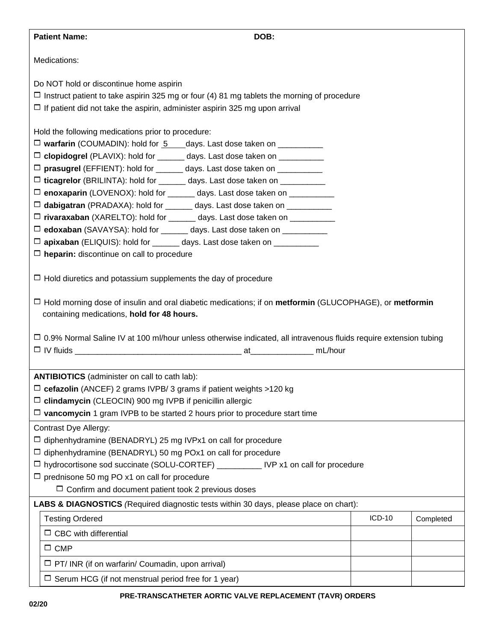| <b>Patient Name:</b><br>DOB:                                                                                                                                                                                                                                                                                                                                                                                                                                                                                                                                                                                                                                                                                                                                                                                                                  |        |           |
|-----------------------------------------------------------------------------------------------------------------------------------------------------------------------------------------------------------------------------------------------------------------------------------------------------------------------------------------------------------------------------------------------------------------------------------------------------------------------------------------------------------------------------------------------------------------------------------------------------------------------------------------------------------------------------------------------------------------------------------------------------------------------------------------------------------------------------------------------|--------|-----------|
| Medications:                                                                                                                                                                                                                                                                                                                                                                                                                                                                                                                                                                                                                                                                                                                                                                                                                                  |        |           |
| Do NOT hold or discontinue home aspirin                                                                                                                                                                                                                                                                                                                                                                                                                                                                                                                                                                                                                                                                                                                                                                                                       |        |           |
| $\Box$ Instruct patient to take aspirin 325 mg or four (4) 81 mg tablets the morning of procedure                                                                                                                                                                                                                                                                                                                                                                                                                                                                                                                                                                                                                                                                                                                                             |        |           |
| $\Box$ If patient did not take the aspirin, administer aspirin 325 mg upon arrival                                                                                                                                                                                                                                                                                                                                                                                                                                                                                                                                                                                                                                                                                                                                                            |        |           |
| Hold the following medications prior to procedure:<br>$\Box$ warfarin (COUMADIN): hold for $5$ days. Last dose taken on $\Box$<br>□ clopidogrel (PLAVIX): hold for ______ days. Last dose taken on __________<br>□ prasugrel (EFFIENT): hold for ______ days. Last dose taken on __________<br>□ ticagrelor (BRILINTA): hold for ______ days. Last dose taken on __________<br>□ enoxaparin (LOVENOX): hold for ______ days. Last dose taken on __________<br>$\Box$ dabigatran (PRADAXA): hold for _______ days. Last dose taken on __________<br>□ rivaraxaban (XARELTO): hold for ______ days. Last dose taken on __________<br>□ edoxaban (SAVAYSA): hold for ______ days. Last dose taken on __________<br>□ apixaban (ELIQUIS): hold for ______ days. Last dose taken on __________<br>$\Box$ heparin: discontinue on call to procedure |        |           |
| $\Box$ Hold diuretics and potassium supplements the day of procedure                                                                                                                                                                                                                                                                                                                                                                                                                                                                                                                                                                                                                                                                                                                                                                          |        |           |
| $\Box$ Hold morning dose of insulin and oral diabetic medications; if on metformin (GLUCOPHAGE), or metformin<br>containing medications, hold for 48 hours.                                                                                                                                                                                                                                                                                                                                                                                                                                                                                                                                                                                                                                                                                   |        |           |
| □ 0.9% Normal Saline IV at 100 ml/hour unless otherwise indicated, all intravenous fluids require extension tubing                                                                                                                                                                                                                                                                                                                                                                                                                                                                                                                                                                                                                                                                                                                            |        |           |
| <b>ANTIBIOTICS</b> (administer on call to cath lab):                                                                                                                                                                                                                                                                                                                                                                                                                                                                                                                                                                                                                                                                                                                                                                                          |        |           |
| $\Box$ cefazolin (ANCEF) 2 grams IVPB/ 3 grams if patient weights >120 kg                                                                                                                                                                                                                                                                                                                                                                                                                                                                                                                                                                                                                                                                                                                                                                     |        |           |
| $\Box$ clindamycin (CLEOCIN) 900 mg IVPB if penicillin allergic                                                                                                                                                                                                                                                                                                                                                                                                                                                                                                                                                                                                                                                                                                                                                                               |        |           |
| $\Box$ vancomycin 1 gram IVPB to be started 2 hours prior to procedure start time                                                                                                                                                                                                                                                                                                                                                                                                                                                                                                                                                                                                                                                                                                                                                             |        |           |
| <b>Contrast Dye Allergy:</b><br>$\Box$ diphenhydramine (BENADRYL) 25 mg IVPx1 on call for procedure<br>$\Box$ diphenhydramine (BENADRYL) 50 mg POx1 on call for procedure<br>□ hydrocortisone sod succinate (SOLU-CORTEF) ___________ IVP x1 on call for procedure<br>$\Box$ prednisone 50 mg PO x1 on call for procedure<br>$\Box$ Confirm and document patient took 2 previous doses                                                                                                                                                                                                                                                                                                                                                                                                                                                        |        |           |
| LABS & DIAGNOSTICS (Required diagnostic tests within 30 days, please place on chart):                                                                                                                                                                                                                                                                                                                                                                                                                                                                                                                                                                                                                                                                                                                                                         |        |           |
| <b>Testing Ordered</b>                                                                                                                                                                                                                                                                                                                                                                                                                                                                                                                                                                                                                                                                                                                                                                                                                        | ICD-10 | Completed |
| $\Box$ CBC with differential                                                                                                                                                                                                                                                                                                                                                                                                                                                                                                                                                                                                                                                                                                                                                                                                                  |        |           |
| $\Box$ CMP                                                                                                                                                                                                                                                                                                                                                                                                                                                                                                                                                                                                                                                                                                                                                                                                                                    |        |           |
| $\Box$ PT/ INR (if on warfarin/ Coumadin, upon arrival)                                                                                                                                                                                                                                                                                                                                                                                                                                                                                                                                                                                                                                                                                                                                                                                       |        |           |